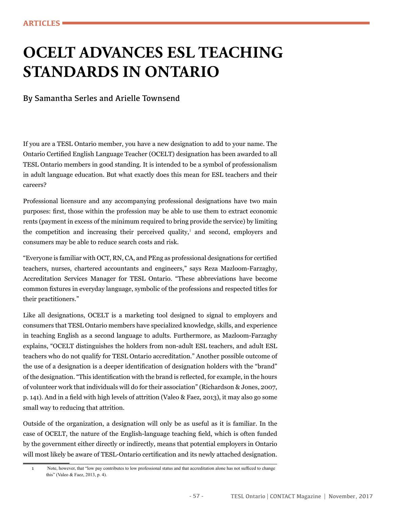## **OCELT ADVANCES ESL TEACHING STANDARDS IN ONTARIO**

By Samantha Serles and Arielle Townsend

If you are a TESL Ontario member, you have a new designation to add to your name. The Ontario Certifed English Language Teacher (OCELT) designation has been awarded to all TESL Ontario members in good standing. It is intended to be a symbol of professionalism in adult language education. But what exactly does this mean for ESL teachers and their careers?

Professional licensure and any accompanying professional designations have two main purposes: frst, those within the profession may be able to use them to extract economic rents (payment in excess of the minimum required to bring provide the service) by limiting the competition and increasing their perceived quality,<sup>1</sup> and second, employers and consumers may be able to reduce search costs and risk.

"Everyone is familiar with OCT, RN, CA, and PEng as professional designations for certifed teachers, nurses, chartered accountants and engineers," says Reza Mazloom-Farzaghy, Accreditation Services Manager for TESL Ontario. "These abbreviations have become common fxtures in everyday language, symbolic of the professions and respected titles for their practitioners."

Like all designations, OCELT is a marketing tool designed to signal to employers and consumers that TESL Ontario members have specialized knowledge, skills, and experience in teaching English as a second language to adults. Furthermore, as Mazloom-Farzaghy explains, "OCELT distinguishes the holders from non-adult ESL teachers, and adult ESL teachers who do not qualify for TESL Ontario accreditation." Another possible outcome of the use of a designation is a deeper identifcation of designation holders with the "brand" of the designation. "This identifcation with the brand is refected, for example, in the hours of volunteer work that individuals will do for their association" (Richardson & Jones, 2007, p. 141). And in a feld with high levels of attrition (Valeo & Faez, 2013), it may also go some small way to reducing that attrition.

Outside of the organization, a designation will only be as useful as it is familiar. In the case of OCELT, the nature of the English-language teaching feld, which is often funded by the government either directly or indirectly, means that potential employers in Ontario will most likely be aware of TESL-Ontario certifcation and its newly attached designation.

<sup>1</sup> Note, however, that "low pay contributes to low professional status and that accreditation alone has not suffced to change this" (Valeo & Faez, 2013, p. 4).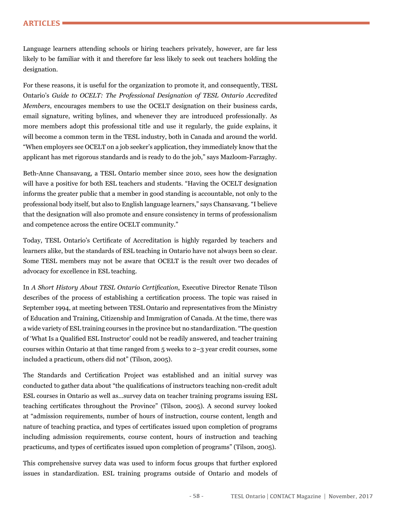Language learners attending schools or hiring teachers privately, however, are far less likely to be familiar with it and therefore far less likely to seek out teachers holding the designation.

For these reasons, it is useful for the organization to promote it, and consequently, TESL Ontario's *Guide to OCELT: The Professional Designation of TESL Ontario Accredited Members*, encourages members to use the OCELT designation on their business cards, email signature, writing bylines, and whenever they are introduced professionally. As more members adopt this professional title and use it regularly, the guide explains, it will become a common term in the TESL industry, both in Canada and around the world. "When employers see OCELT on a job seeker's application, they immediately know that the applicant has met rigorous standards and is ready to do the job," says Mazloom-Farzaghy.

Beth-Anne Chansavang, a TESL Ontario member since 2010, sees how the designation will have a positive for both ESL teachers and students. "Having the OCELT designation informs the greater public that a member in good standing is accountable, not only to the professional body itself, but also to English language learners," says Chansavang. "I believe that the designation will also promote and ensure consistency in terms of professionalism and competence across the entire OCELT community."

Today, TESL Ontario's Certifcate of Accreditation is highly regarded by teachers and learners alike, but the standards of ESL teaching in Ontario have not always been so clear. Some TESL members may not be aware that OCELT is the result over two decades of advocacy for excellence in ESL teaching.

In *A Short History About TESL Ontario Certifcation*, Executive Director Renate Tilson describes of the process of establishing a certifcation process. The topic was raised in September 1994, at meeting between TESL Ontario and representatives from the Ministry of Education and Training, Citizenship and Immigration of Canada. At the time, there was a wide variety of ESL training courses in the province but no standardization. "The question of 'What Is a Qualifed ESL Instructor' could not be readily answered, and teacher training courses within Ontario at that time ranged from 5 weeks to 2–3 year credit courses, some included a practicum, others did not" (Tilson, 2005).

The Standards and Certifcation Project was established and an initial survey was conducted to gather data about "the qualifcations of instructors teaching non-credit adult ESL courses in Ontario as well as…survey data on teacher training programs issuing ESL teaching certifcates throughout the Province" (Tilson, 2005). A second survey looked at "admission requirements, number of hours of instruction, course content, length and nature of teaching practica, and types of certifcates issued upon completion of programs including admission requirements, course content, hours of instruction and teaching practicums, and types of certifcates issued upon completion of programs" (Tilson, 2005).

This comprehensive survey data was used to inform focus groups that further explored issues in standardization. ESL training programs outside of Ontario and models of